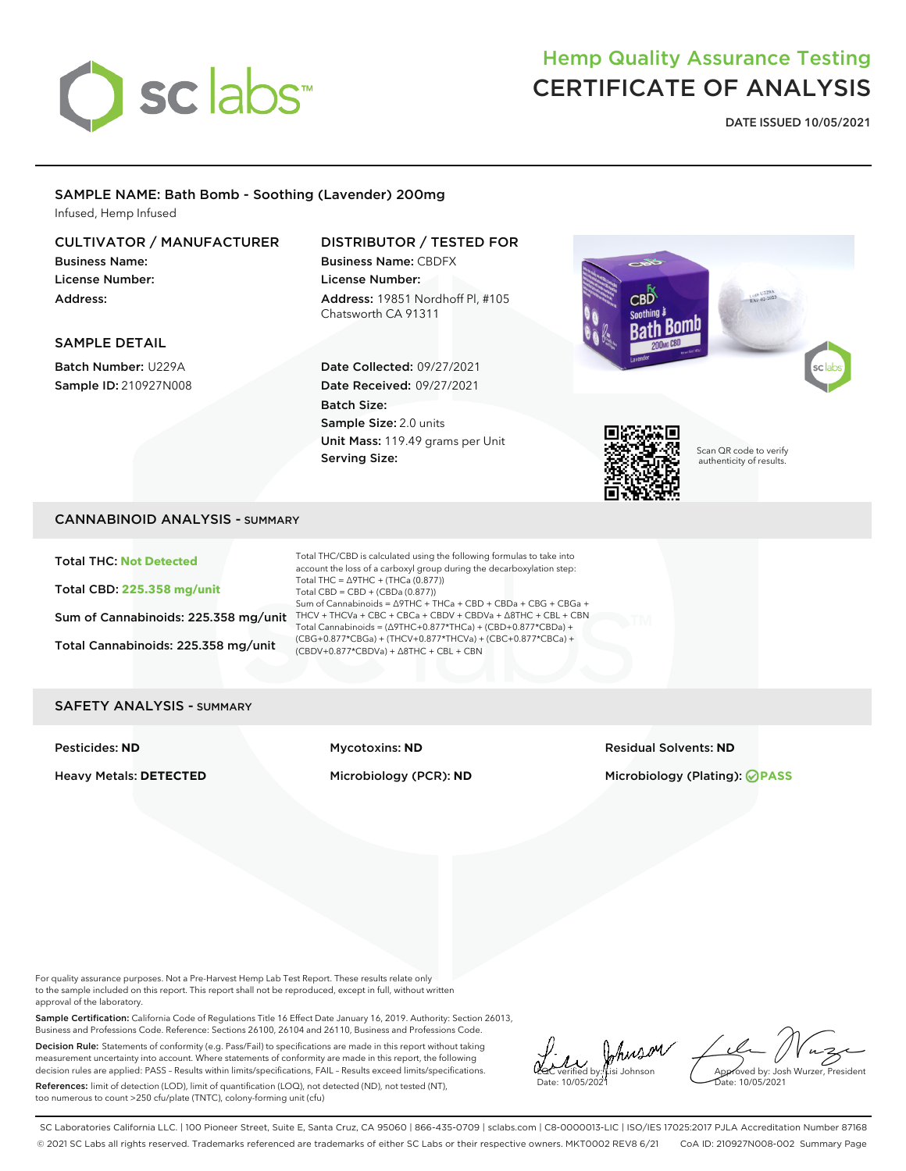

# Hemp Quality Assurance Testing CERTIFICATE OF ANALYSIS

DATE ISSUED 10/05/2021

#### SAMPLE NAME: Bath Bomb - Soothing (Lavender) 200mg Infused, Hemp Infused

#### CULTIVATOR / MANUFACTURER

Business Name: License Number: Address:

### DISTRIBUTOR / TESTED FOR

Business Name: CBDFX License Number: Address: 19851 Nordhoff Pl, #105 Chatsworth CA 91311

#### SAMPLE DETAIL

Batch Number: U229A Sample ID: 210927N008

# Date Collected: 09/27/2021 Date Received: 09/27/2021 Batch Size:

Sample Size: 2.0 units Unit Mass: 119.49 grams per Unit Serving Size:





Scan QR code to verify authenticity of results.

#### CANNABINOID ANALYSIS - SUMMARY

Total THC: **Not Detected**

Total CBD: **225.358 mg/unit**

Total Cannabinoids: 225.358 mg/unit

Sum of Cannabinoids: 225.358 mg/unit THCV + THCVa + CBC + CBCa + CBDV + CBDVa +  $\triangle$ 8THC + CBL + CBN Total THC/CBD is calculated using the following formulas to take into account the loss of a carboxyl group during the decarboxylation step: Total THC =  $\triangle$ 9THC + (THCa (0.877)) Total CBD = CBD + (CBDa (0.877)) Sum of Cannabinoids = ∆9THC + THCa + CBD + CBDa + CBG + CBGa + Total Cannabinoids = (∆9THC+0.877\*THCa) + (CBD+0.877\*CBDa) + (CBG+0.877\*CBGa) + (THCV+0.877\*THCVa) + (CBC+0.877\*CBCa) + (CBDV+0.877\*CBDVa) + ∆8THC + CBL + CBN

#### SAFETY ANALYSIS - SUMMARY

Pesticides: **ND** Mycotoxins: **ND** Residual Solvents: **ND**

Heavy Metals: **DETECTED** Microbiology (PCR): **ND** Microbiology (Plating): **PASS**

For quality assurance purposes. Not a Pre-Harvest Hemp Lab Test Report. These results relate only to the sample included on this report. This report shall not be reproduced, except in full, without written approval of the laboratory.

Sample Certification: California Code of Regulations Title 16 Effect Date January 16, 2019. Authority: Section 26013, Business and Professions Code. Reference: Sections 26100, 26104 and 26110, Business and Professions Code.

Decision Rule: Statements of conformity (e.g. Pass/Fail) to specifications are made in this report without taking measurement uncertainty into account. Where statements of conformity are made in this report, the following decision rules are applied: PASS – Results within limits/specifications, FAIL – Results exceed limits/specifications.

References: limit of detection (LOD), limit of quantification (LOQ), not detected (ND), not tested (NT), too numerous to count >250 cfu/plate (TNTC), colony-forming unit (cfu)

 $\mu$  Awson  $\ell$ Date: 10/05/2021

Approved by: Josh Wurzer, President ate: 10/05/2021

SC Laboratories California LLC. | 100 Pioneer Street, Suite E, Santa Cruz, CA 95060 | 866-435-0709 | sclabs.com | C8-0000013-LIC | ISO/IES 17025:2017 PJLA Accreditation Number 87168 © 2021 SC Labs all rights reserved. Trademarks referenced are trademarks of either SC Labs or their respective owners. MKT0002 REV8 6/21 CoA ID: 210927N008-002 Summary Page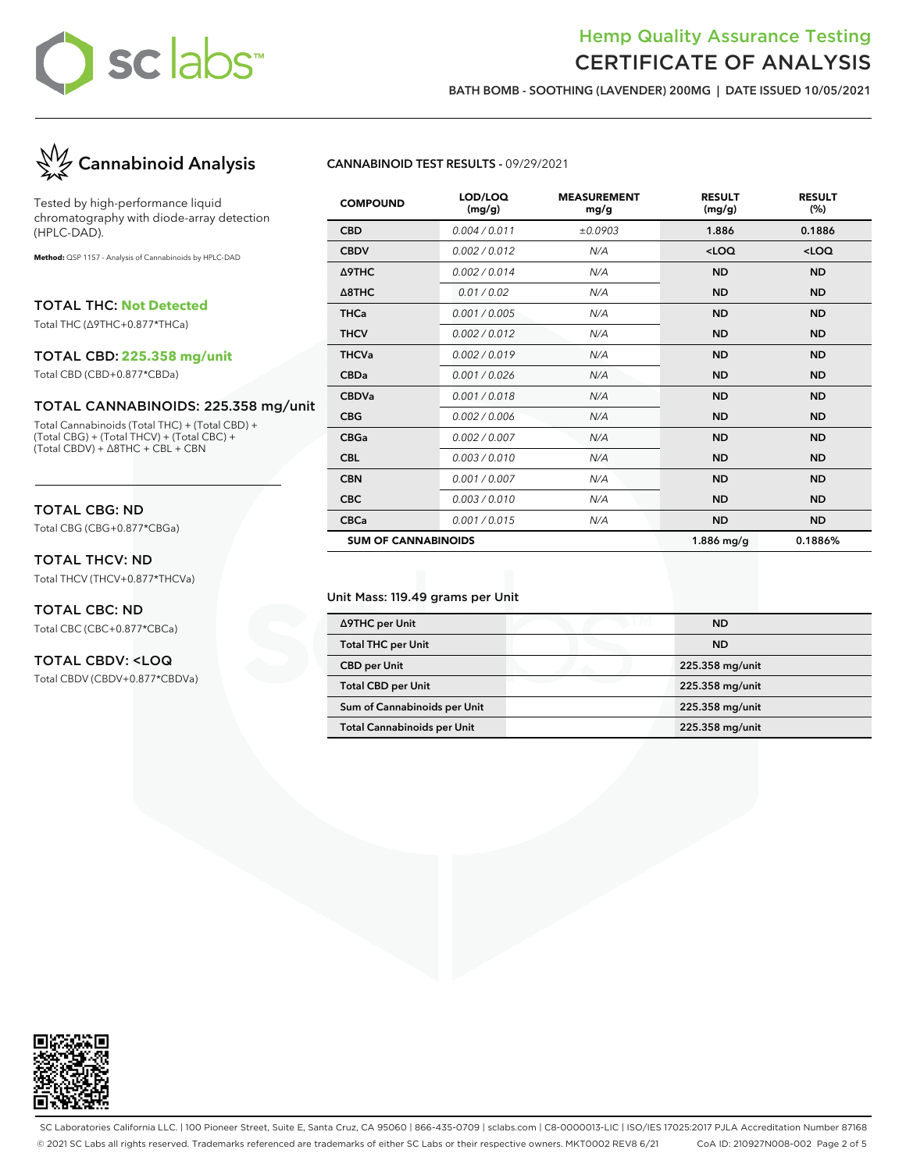### Hemp Quality Assurance Testing CERTIFICATE OF ANALYSIS

BATH BOMB - SOOTHING (LAVENDER) 200MG | DATE ISSUED 10/05/2021



Tested by high-performance liquid chromatography with diode-array detection (HPLC-DAD).

**Method:** QSP 1157 - Analysis of Cannabinoids by HPLC-DAD

TOTAL THC: **Not Detected**

Total THC (∆9THC+0.877\*THCa)

#### TOTAL CBD: **225.358 mg/unit**

Total CBD (CBD+0.877\*CBDa)

#### TOTAL CANNABINOIDS: 225.358 mg/unit

Total Cannabinoids (Total THC) + (Total CBD) + (Total CBG) + (Total THCV) + (Total CBC) + (Total CBDV) + ∆8THC + CBL + CBN

#### TOTAL CBG: ND

Total CBG (CBG+0.877\*CBGa)

#### TOTAL THCV: ND

Total THCV (THCV+0.877\*THCVa)

#### TOTAL CBC: ND Total CBC (CBC+0.877\*CBCa)

#### TOTAL CBDV: <LOQ

Total CBDV (CBDV+0.877\*CBDVa)

#### CANNABINOID TEST RESULTS - 09/29/2021

| <b>COMPOUND</b>            | LOD/LOQ<br>(mg/g) | <b>MEASUREMENT</b><br>mg/g | <b>RESULT</b><br>(mg/g) | <b>RESULT</b><br>(%) |
|----------------------------|-------------------|----------------------------|-------------------------|----------------------|
| <b>CBD</b>                 | 0.004 / 0.011     | ±0.0903                    | 1.886                   | 0.1886               |
| <b>CBDV</b>                | 0.002 / 0.012     | N/A                        | $<$ LOQ                 | $<$ LOQ              |
| Δ9THC                      | 0.002/0.014       | N/A                        | <b>ND</b>               | <b>ND</b>            |
| $\triangle$ 8THC           | 0.01 / 0.02       | N/A                        | <b>ND</b>               | <b>ND</b>            |
| <b>THCa</b>                | 0.001 / 0.005     | N/A                        | <b>ND</b>               | <b>ND</b>            |
| <b>THCV</b>                | 0.002/0.012       | N/A                        | <b>ND</b>               | <b>ND</b>            |
| <b>THCVa</b>               | 0.002 / 0.019     | N/A                        | <b>ND</b>               | <b>ND</b>            |
| <b>CBDa</b>                | 0.001/0.026       | N/A                        | <b>ND</b>               | <b>ND</b>            |
| <b>CBDVa</b>               | 0.001 / 0.018     | N/A                        | <b>ND</b>               | <b>ND</b>            |
| <b>CBG</b>                 | 0.002/0.006       | N/A                        | <b>ND</b>               | <b>ND</b>            |
| <b>CBGa</b>                | 0.002 / 0.007     | N/A                        | <b>ND</b>               | <b>ND</b>            |
| <b>CBL</b>                 | 0.003 / 0.010     | N/A                        | <b>ND</b>               | <b>ND</b>            |
| <b>CBN</b>                 | 0.001 / 0.007     | N/A                        | <b>ND</b>               | <b>ND</b>            |
| <b>CBC</b>                 | 0.003 / 0.010     | N/A                        | <b>ND</b>               | <b>ND</b>            |
| <b>CBCa</b>                | 0.001 / 0.015     | N/A                        | <b>ND</b>               | <b>ND</b>            |
| <b>SUM OF CANNABINOIDS</b> |                   |                            | 1.886 mg/g              | 0.1886%              |

#### Unit Mass: 119.49 grams per Unit

| ∆9THC per Unit                     | <b>ND</b>       |
|------------------------------------|-----------------|
| <b>Total THC per Unit</b>          | <b>ND</b>       |
| <b>CBD per Unit</b>                | 225.358 mg/unit |
| <b>Total CBD per Unit</b>          | 225.358 mg/unit |
| Sum of Cannabinoids per Unit       | 225.358 mg/unit |
| <b>Total Cannabinoids per Unit</b> | 225.358 mg/unit |



SC Laboratories California LLC. | 100 Pioneer Street, Suite E, Santa Cruz, CA 95060 | 866-435-0709 | sclabs.com | C8-0000013-LIC | ISO/IES 17025:2017 PJLA Accreditation Number 87168 © 2021 SC Labs all rights reserved. Trademarks referenced are trademarks of either SC Labs or their respective owners. MKT0002 REV8 6/21 CoA ID: 210927N008-002 Page 2 of 5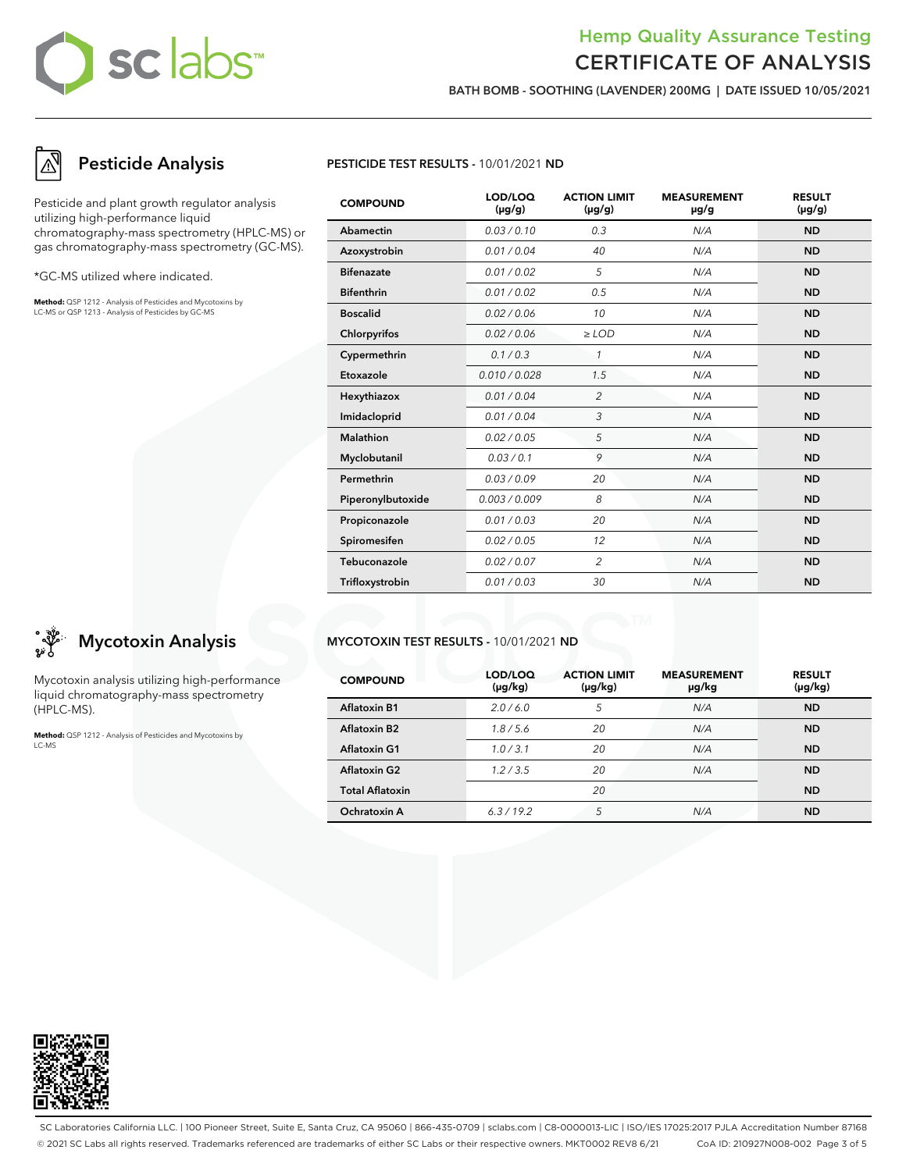## Hemp Quality Assurance Testing CERTIFICATE OF ANALYSIS

BATH BOMB - SOOTHING (LAVENDER) 200MG | DATE ISSUED 10/05/2021

# Pesticide Analysis

Pesticide and plant growth regulator analysis utilizing high-performance liquid chromatography-mass spectrometry (HPLC-MS) or gas chromatography-mass spectrometry (GC-MS).

\*GC-MS utilized where indicated.

**Method:** QSP 1212 - Analysis of Pesticides and Mycotoxins by LC-MS or QSP 1213 - Analysis of Pesticides by GC-MS



| <b>COMPOUND</b>   | LOD/LOQ<br>$(\mu g/g)$ | <b>ACTION LIMIT</b><br>$(\mu g/g)$ | <b>MEASUREMENT</b><br>µg/g | <b>RESULT</b><br>$(\mu g/g)$ |
|-------------------|------------------------|------------------------------------|----------------------------|------------------------------|
| Abamectin         | 0.03/0.10              | 0.3                                | N/A                        | <b>ND</b>                    |
| Azoxystrobin      | 0.01 / 0.04            | 40                                 | N/A                        | <b>ND</b>                    |
| <b>Bifenazate</b> | 0.01 / 0.02            | 5                                  | N/A                        | <b>ND</b>                    |
| <b>Bifenthrin</b> | 0.01 / 0.02            | 0.5                                | N/A                        | <b>ND</b>                    |
| <b>Boscalid</b>   | 0.02 / 0.06            | 10                                 | N/A                        | <b>ND</b>                    |
| Chlorpyrifos      | 0.02 / 0.06            | $\ge$ LOD                          | N/A                        | <b>ND</b>                    |
| Cypermethrin      | 0.1/0.3                | $\mathcal I$                       | N/A                        | <b>ND</b>                    |
| Etoxazole         | 0.010 / 0.028          | 1.5                                | N/A                        | <b>ND</b>                    |
| Hexythiazox       | 0.01 / 0.04            | $\overline{c}$                     | N/A                        | <b>ND</b>                    |
| Imidacloprid      | 0.01 / 0.04            | 3                                  | N/A                        | <b>ND</b>                    |
| Malathion         | 0.02 / 0.05            | 5                                  | N/A                        | <b>ND</b>                    |
| Myclobutanil      | 0.03/0.1               | 9                                  | N/A                        | <b>ND</b>                    |
| Permethrin        | 0.03/0.09              | 20                                 | N/A                        | <b>ND</b>                    |
| Piperonylbutoxide | 0.003 / 0.009          | 8                                  | N/A                        | <b>ND</b>                    |
| Propiconazole     | 0.01 / 0.03            | 20                                 | N/A                        | <b>ND</b>                    |
| Spiromesifen      | 0.02 / 0.05            | 12                                 | N/A                        | <b>ND</b>                    |
| Tebuconazole      | 0.02 / 0.07            | $\overline{2}$                     | N/A                        | <b>ND</b>                    |
| Trifloxystrobin   | 0.01 / 0.03            | 30                                 | N/A                        | <b>ND</b>                    |

#### MYCOTOXIN TEST RESULTS - 10/01/2021 ND

| <b>COMPOUND</b>        | LOD/LOQ<br>$(\mu g/kg)$ | <b>ACTION LIMIT</b><br>$(\mu g/kg)$ | <b>MEASUREMENT</b><br>µg/kg | <b>RESULT</b><br>(µg/kg) |
|------------------------|-------------------------|-------------------------------------|-----------------------------|--------------------------|
| Aflatoxin B1           | 2.0/6.0                 | 5                                   | N/A                         | <b>ND</b>                |
| Aflatoxin B2           | 1.8/5.6                 | 20                                  | N/A                         | <b>ND</b>                |
| <b>Aflatoxin G1</b>    | 1.0/3.1                 | 20                                  | N/A                         | <b>ND</b>                |
| <b>Aflatoxin G2</b>    | 1.2 / 3.5               | 20                                  | N/A                         | <b>ND</b>                |
| <b>Total Aflatoxin</b> |                         | 20                                  |                             | <b>ND</b>                |
| Ochratoxin A           | 6.3/19.2                | 5                                   | N/A                         | <b>ND</b>                |



Mycotoxin analysis utilizing high-performance liquid chromatography-mass spectrometry (HPLC-MS).

**Method:** QSP 1212 - Analysis of Pesticides and Mycotoxins by LC-MS



SC Laboratories California LLC. | 100 Pioneer Street, Suite E, Santa Cruz, CA 95060 | 866-435-0709 | sclabs.com | C8-0000013-LIC | ISO/IES 17025:2017 PJLA Accreditation Number 87168 © 2021 SC Labs all rights reserved. Trademarks referenced are trademarks of either SC Labs or their respective owners. MKT0002 REV8 6/21 CoA ID: 210927N008-002 Page 3 of 5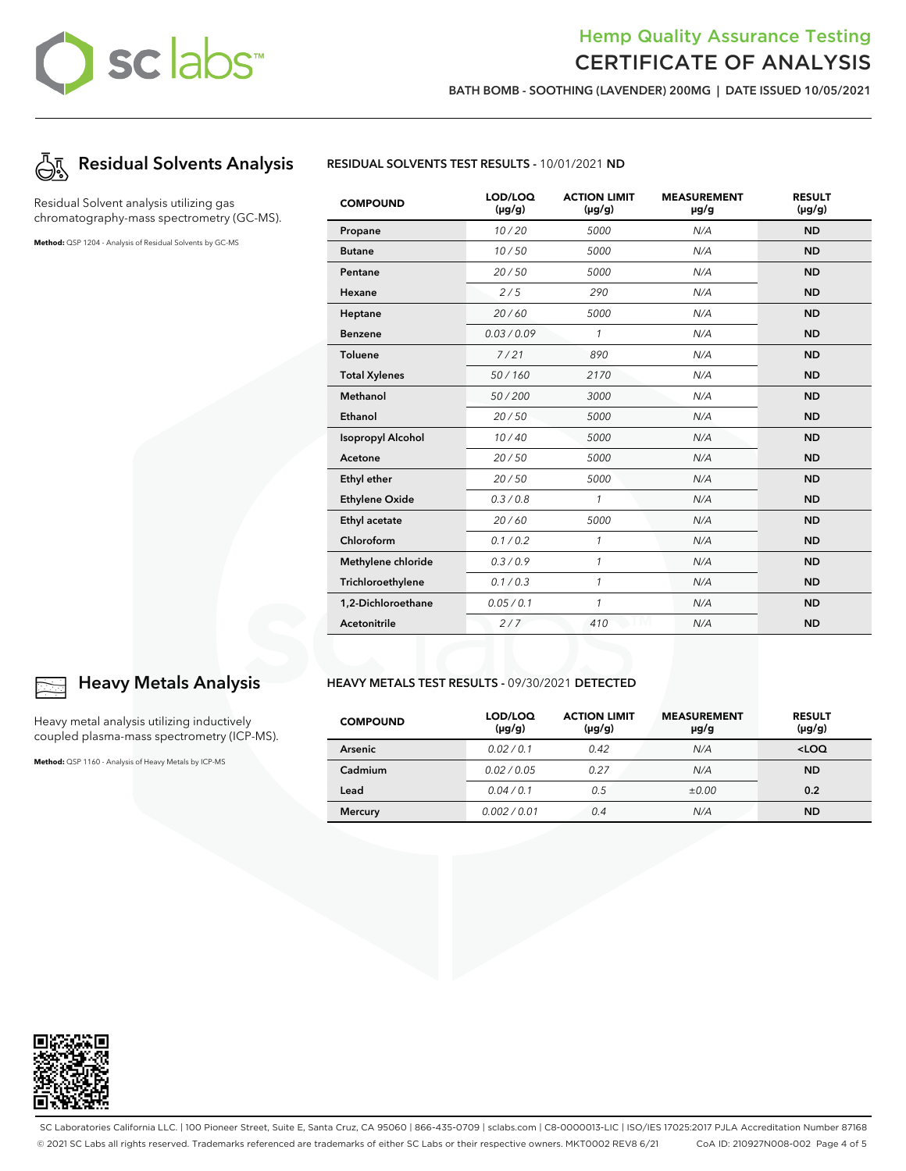## Hemp Quality Assurance Testing CERTIFICATE OF ANALYSIS

BATH BOMB - SOOTHING (LAVENDER) 200MG | DATE ISSUED 10/05/2021



Residual Solvent analysis utilizing gas chromatography-mass spectrometry (GC-MS).

**Method:** QSP 1204 - Analysis of Residual Solvents by GC-MS



| <b>COMPOUND</b>          | LOD/LOQ<br>$(\mu g/g)$ | <b>ACTION LIMIT</b><br>$(\mu g/g)$ | <b>MEASUREMENT</b><br>µg/g | <b>RESULT</b><br>$(\mu g/g)$ |
|--------------------------|------------------------|------------------------------------|----------------------------|------------------------------|
| Propane                  | 10/20                  | 5000                               | N/A                        | <b>ND</b>                    |
| <b>Butane</b>            | 10/50                  | 5000                               | N/A                        | <b>ND</b>                    |
| Pentane                  | 20/50                  | 5000                               | N/A                        | <b>ND</b>                    |
| Hexane                   | 2/5                    | 290                                | N/A                        | <b>ND</b>                    |
| Heptane                  | 20/60                  | 5000                               | N/A                        | <b>ND</b>                    |
| <b>Benzene</b>           | 0.03/0.09              | $\mathcal{I}$                      | N/A                        | <b>ND</b>                    |
| <b>Toluene</b>           | 7/21                   | 890                                | N/A                        | <b>ND</b>                    |
| <b>Total Xylenes</b>     | 50/160                 | 2170                               | N/A                        | <b>ND</b>                    |
| Methanol                 | 50/200                 | 3000                               | N/A                        | <b>ND</b>                    |
| Ethanol                  | 20/50                  | 5000                               | N/A                        | <b>ND</b>                    |
| <b>Isopropyl Alcohol</b> | 10/40                  | 5000                               | N/A                        | <b>ND</b>                    |
| Acetone                  | 20/50                  | 5000                               | N/A                        | <b>ND</b>                    |
| Ethyl ether              | 20/50                  | 5000                               | N/A                        | <b>ND</b>                    |
| <b>Ethylene Oxide</b>    | 0.3 / 0.8              | $\mathbf{1}$                       | N/A                        | <b>ND</b>                    |
| Ethyl acetate            | 20/60                  | 5000                               | N/A                        | <b>ND</b>                    |
| Chloroform               | 0.1 / 0.2              | $\mathcal{I}$                      | N/A                        | <b>ND</b>                    |
| Methylene chloride       | 0.3/0.9                | 1                                  | N/A                        | <b>ND</b>                    |
| Trichloroethylene        | 0.1 / 0.3              | $\mathbf{1}$                       | N/A                        | <b>ND</b>                    |
| 1,2-Dichloroethane       | 0.05 / 0.1             | $\mathcal{I}$                      | N/A                        | <b>ND</b>                    |
| Acetonitrile             | 2/7                    | 410                                | N/A                        | <b>ND</b>                    |

### Heavy Metals Analysis

Heavy metal analysis utilizing inductively coupled plasma-mass spectrometry (ICP-MS).

**Method:** QSP 1160 - Analysis of Heavy Metals by ICP-MS

#### HEAVY METALS TEST RESULTS - 09/30/2021 DETECTED

| <b>COMPOUND</b> | LOD/LOQ<br>$(\mu g/g)$ | <b>ACTION LIMIT</b><br>$(\mu g/g)$ | <b>MEASUREMENT</b><br>$\mu$ g/g | <b>RESULT</b><br>$(\mu g/g)$ |
|-----------------|------------------------|------------------------------------|---------------------------------|------------------------------|
| <b>Arsenic</b>  | 0.02/0.1               | 0.42                               | N/A                             | $<$ LOQ                      |
| Cadmium         | 0.02/0.05              | 0.27                               | N/A                             | <b>ND</b>                    |
| Lead            | 0.04/0.1               | 0.5                                | ±0.00                           | 0.2                          |
| <b>Mercury</b>  | 0.002/0.01             | 0.4                                | N/A                             | <b>ND</b>                    |



SC Laboratories California LLC. | 100 Pioneer Street, Suite E, Santa Cruz, CA 95060 | 866-435-0709 | sclabs.com | C8-0000013-LIC | ISO/IES 17025:2017 PJLA Accreditation Number 87168 © 2021 SC Labs all rights reserved. Trademarks referenced are trademarks of either SC Labs or their respective owners. MKT0002 REV8 6/21 CoA ID: 210927N008-002 Page 4 of 5